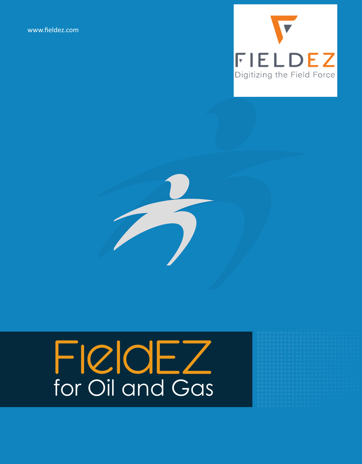www.fieldez.com





# FICIOEZ for Oil and Gas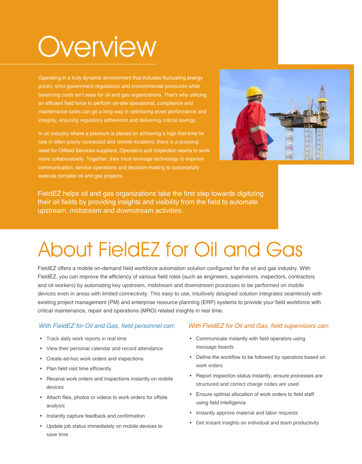## **Overview**

Operating in a truly dynamic environment that includes fluctuating energy prices, strict government regulations and environmental pressures while balancing costs isn't easy for oil and gas organizations. That's why utilizing an efficient field force to perform on-site operational, compliance and maintenance tasks can go a long way in optimizing asset performance and integrity, ensuring regulatory adherence and delivering critical savings.

In an industry where a premium is placed on achieving a high first-time fix rate in often poorly connected and remote locations, there is a pressing need for Oilfield Services suppliers, Operators and Inspection teams to work more collaboratively. Together, they must leverage technology to improve communication, service operations and decision-making to successfully execute complex oil and gas projects.



FieldEZ helps oil and gas organizations take the first step towards digitizing their oil fields by providing insights and visibility from the field to automate upstream, midstream and downstream activities.

### About FieldEZ for Oil and Gas

FieldEZ offers a mobile on-demand field workforce automation solution configured for the oil and gas industry. With FieldEZ, you can improve the efficiency of various field roles (such as engineers, supervisors, inspectors, contractors and oil workers) by automating key upstream, midstream and downstream processes to be performed on mobile devices even in areas with limited connectivity. This easy to use, intuitively designed solution integrates seamlessly with existing project management (PM) and enterprise resource planning (ERP) systems to provide your field workforce with critical maintenance, repair and operations (MRO) related insights in real time.

- Track daily work reports in real time
- View their personal calendar and record attendance
- Create ad-hoc work orders and inspections
- Plan field visit time efficiently
- Receive work orders and inspections instantly on mobile devices
- Attach files, photos or videos to work orders for offsite analysis
- Instantly capture feedback and confirmation
- Update job status immediately on mobile devices to save time

#### With FieldEZ for Oil and Gas, field personnel can: With FieldEZ for Oil and Gas, field supervisors can:

- Communicate instantly with field operators using message boards
- Define the workflow to be followed by operators based on work orders
- Report inspection status instantly, ensure processes are structured and correct charge codes are used
- Ensure optimal allocation of work orders to field staff using field intelligence
- Instantly approve material and labor requests
- Get instant insights on individual and team productivity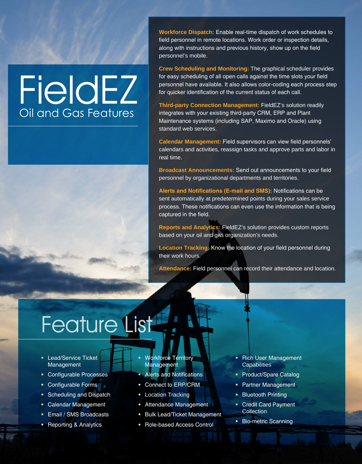### **FieldEZ** Oil and Gas Features

**Workforce Dispatch:** Enable real-time dispatch of work schedules to field personnel in remote locations. Work order or inspection details, along with instructions and previous history, show up on the field personnel's mobile.

**Crew Scheduling and Monitoring:** The graphical scheduler provides for easy scheduling of all open calls against the time slots your field personnel have available. It also allows color-coding each process step for quicker identification of the current status of each call.

**Third-party Connection Management:** FieldEZ's solution readily integrates with your existing third-party CRM, ERP and Plant Maintenance systems (including SAP, Maximo and Oracle) using standard web services.

**Calendar Management:** Field supervisors can view field personnels' calendars and activities, reassign tasks and approve parts and labor in real time.

**Broadcast Announcements:** Send out announcements to your field personnel by organizational departments and territories.

**Alerts and Notifications (E-mail and SMS):** Notifications can be sent automatically at predetermined points during your sales service process. These notifications can even use the information that is being captured in the field.

**Reports and Analytics:** FieldEZ's solution provides custom reports based on your oil and gas organization's needs.

**Location Tracking:** Know the location of your field personnel during their work hours.

**Attendance:** Field personnel can record their attendance and location.

### Feature List<sup>1</sup>

- Lead/Service Ticket Management
- Configurable Processes
- Configurable Forms
- Scheduling and Dispatch
- Calendar Management
- Email / SMS Broadcasts
- Reporting & Analytics
- Workforce Territory Management
- Alerts and Notifications
- Connect to ERP/CRM
- Location Tracking
- Attendance Management
- Bulk Lead/Ticket Management
- Role-based Access Control
- Rich User Management **Capabilities**
- Product/Spare Catalog
- Partner Management
- Bluetooth Printing
- Credit Card Payment Collection
- Bio-metric Scanning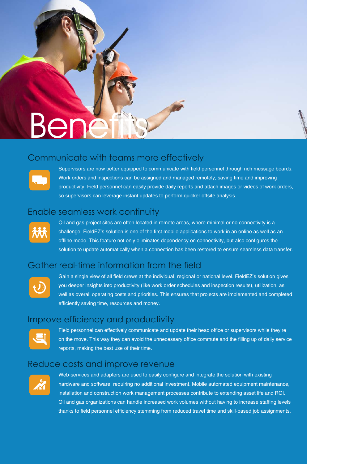# Bene

#### Communicate with teams more effectively



Supervisors are now better equipped to communicate with field personnel through rich message boards. Work orders and inspections can be assigned and managed remotely, saving time and improving productivity. Field personnel can easily provide daily reports and attach images or videos of work orders, so supervisors can leverage instant updates to perform quicker offsite analysis.

#### Enable seamless work continuity



Oil and gas project sites are often located in remote areas, where minimal or no connectivity is a challenge. FieldEZ's solution is one of the first mobile applications to work in an online as well as an offline mode. This feature not only eliminates dependency on connectivity, but also configures the solution to update automatically when a connection has been restored to ensure seamless data transfer.

### Gather real-time information from the field



Gain a single view of all field crews at the individual, regional or national level. FieldEZ's solution gives you deeper insights into productivity (like work order schedules and inspection results), utilization, as well as overall operating costs and priorities. This ensures that projects are implemented and completed efficiently saving time, resources and money.

#### Improve efficiency and productivity



Field personnel can effectively communicate and update their head office or supervisors while they're on the move. This way they can avoid the unnecessary office commute and the filling up of daily service reports, making the best use of their time.

#### Reduce costs and improve revenue



Web-services and adapters are used to easily configure and integrate the solution with existing hardware and software, requiring no additional investment. Mobile automated equipment maintenance, installation and construction work management processes contribute to extending asset life and ROI. Oil and gas organizations can handle increased work volumes without having to increase staffing levels thanks to field personnel efficiency stemming from reduced travel time and skill-based job assignments.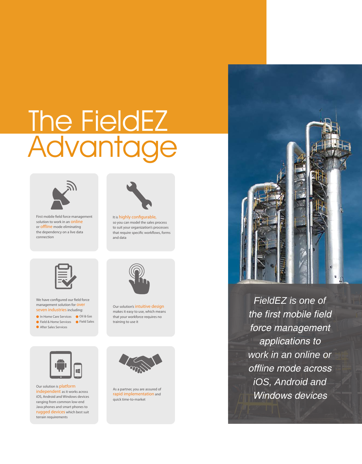### The FieldEZ Advantage



First mobile field force management solution to work in an **online** or offline mode eliminating the dependency on a live data connection



It is highly configurable, so you can model the sales process to suit your organization's processes that require specific workflows, forms and data



We have configured our field force management solution for over seven industries including:

In Home Care Services Oil & Gas Field & Home Services Field SalesAfter Sales Services



Our solution is platform independent as it works across iOS, Android and Windows devices ranging from common low-end Java phones and smart phones to rugged devices which best suit terrain requirements



Our solution's intuitive design makes it easy to use, which means that your workforce requires no training to use it



As a partner, you are assured of rapid implementation and quick time-to-market



FieldEZ is one of the first mobile field force management applications to work in an online or offline mode across iOS, Android and Windows devices